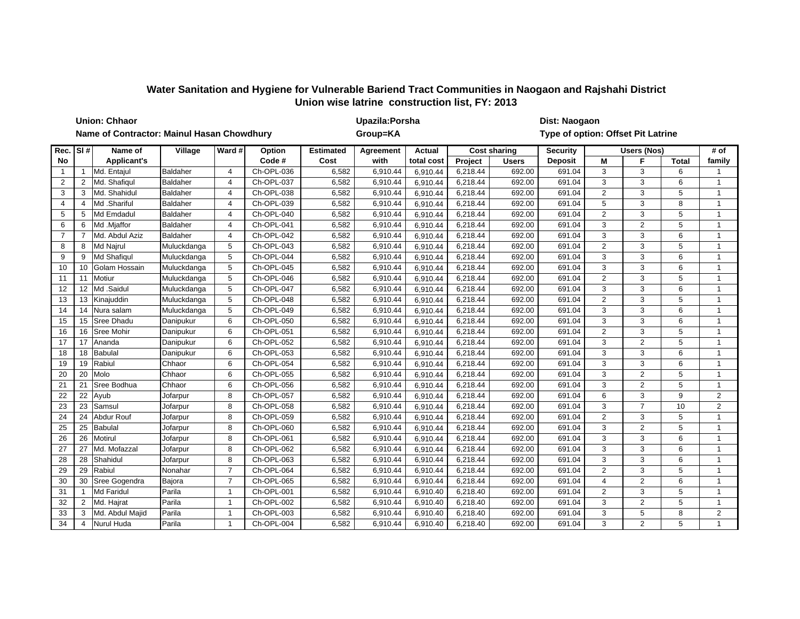|                 | <b>Union: Chhaor</b>                       |                    |                 |                |               |                  | Upazila: Porsha |            |                                    |              | Dist: Naogaon   |                    |                |              |                |  |  |
|-----------------|--------------------------------------------|--------------------|-----------------|----------------|---------------|------------------|-----------------|------------|------------------------------------|--------------|-----------------|--------------------|----------------|--------------|----------------|--|--|
|                 | Name of Contractor: Mainul Hasan Chowdhury |                    |                 |                |               | Group=KA         |                 |            | Type of option: Offset Pit Latrine |              |                 |                    |                |              |                |  |  |
| Rec.            | SI#                                        | Name of            | Village         | Ward #         | <b>Option</b> | <b>Estimated</b> | Agreement       | Actual     | <b>Cost sharing</b>                |              | <b>Security</b> | <b>Users (Nos)</b> |                | # of         |                |  |  |
| No              |                                            | <b>Applicant's</b> |                 |                | Code#         | Cost             | with            | total cost | Project                            | <b>Users</b> | <b>Deposit</b>  | М                  | F              | <b>Total</b> | family         |  |  |
| 1               | $\mathbf{1}$                               | Md. Entajul        | <b>Baldaher</b> | 4              | Ch-OPL-036    | 6,582            | 6,910.44        | 6,910.44   | 6,218.44                           | 692.00       | 691.04          | 3                  | 3              | 6            | -1             |  |  |
| 2               | $\overline{2}$                             | Md. Shafiqul       | Baldaher        | $\overline{4}$ | Ch-OPL-037    | 6,582            | 6,910.44        | 6,910.44   | 6,218.44                           | 692.00       | 691.04          | 3                  | 3              | 6            | $\mathbf{1}$   |  |  |
| 3               | 3                                          | Md. Shahidul       | <b>Baldaher</b> | $\overline{4}$ | Ch-OPL-038    | 6,582            | 6,910.44        | 6,910.44   | 6,218.44                           | 692.00       | 691.04          | $\overline{2}$     | 3              | 5            | $\mathbf{1}$   |  |  |
| 4               | 4                                          | Md .Shariful       | Baldaher        | 4              | Ch-OPL-039    | 6,582            | 6,910.44        | 6,910.44   | 6,218.44                           | 692.00       | 691.04          | 5                  | 3              | 8            | $\mathbf{1}$   |  |  |
| 5               | 5                                          | Md Emdadul         | Baldaher        | $\overline{4}$ | Ch-OPL-040    | 6,582            | 6,910.44        | 6,910.44   | 6,218.44                           | 692.00       | 691.04          | 2                  | 3              | 5            | $\mathbf{1}$   |  |  |
| 6               | 6                                          | Md .Mjaffor        | Baldaher        | 4              | Ch-OPL-041    | 6,582            | 6,910.44        | 6,910.44   | 6,218.44                           | 692.00       | 691.04          | 3                  | $\overline{2}$ | 5            | $\mathbf{1}$   |  |  |
| $\overline{7}$  | $\overline{7}$                             | Md. Abdul Aziz     | Baldaher        | $\overline{4}$ | Ch-OPL-042    | 6,582            | 6,910.44        | 6,910.44   | 6,218.44                           | 692.00       | 691.04          | 3                  | 3              | 6            | $\mathbf{1}$   |  |  |
| 8               | 8                                          | <b>Md Najrul</b>   | Muluckdanga     | 5              | Ch-OPL-043    | 6,582            | 6,910.44        | 6,910.44   | 6,218.44                           | 692.00       | 691.04          | $\overline{2}$     | 3              | 5            | $\mathbf{1}$   |  |  |
| 9               | 9                                          | <b>Md Shafiqul</b> | Muluckdanga     | 5              | Ch-OPL-044    | 6,582            | 6,910.44        | 6,910.44   | 6,218.44                           | 692.00       | 691.04          | 3                  | 3              | 6            | $\mathbf{1}$   |  |  |
| 10              | 10                                         | Golam Hossain      | Muluckdanga     | 5              | Ch-OPL-045    | 6,582            | 6,910.44        | 6,910.44   | 6,218.44                           | 692.00       | 691.04          | 3                  | 3              | 6            | $\mathbf{1}$   |  |  |
| 11              | 11                                         | Motiur             | Muluckdanga     | 5              | Ch-OPL-046    | 6,582            | 6,910.44        | 6,910.44   | 6,218.44                           | 692.00       | 691.04          | 2                  | 3              | 5            | $\mathbf{1}$   |  |  |
| 12              | 12                                         | Md Saidul          | Muluckdanga     | 5              | Ch-OPL-047    | 6,582            | 6,910.44        | 6,910.44   | 6,218.44                           | 692.00       | 691.04          | 3                  | 3              | 6            | $\mathbf{1}$   |  |  |
| 13              | 13                                         | Kinajuddin         | Muluckdanga     | 5              | Ch-OPL-048    | 6,582            | 6,910.44        | 6,910.44   | 6,218.44                           | 692.00       | 691.04          | 2                  | 3              | 5            | $\mathbf{1}$   |  |  |
| 14              | 14                                         | Nura salam         | Muluckdanga     | 5              | Ch-OPL-049    | 6,582            | 6,910.44        | 6,910.44   | 6,218.44                           | 692.00       | 691.04          | 3                  | 3              | 6            | $\mathbf{1}$   |  |  |
| 15              | 15                                         | <b>Sree Dhadu</b>  | Danipukur       | 6              | Ch-OPL-050    | 6,582            | 6,910.44        | 6,910.44   | 6,218.44                           | 692.00       | 691.04          | 3                  | 3              | 6            | $\mathbf{1}$   |  |  |
| 16              | 16                                         | <b>Sree Mohir</b>  | Danipukur       | 6              | Ch-OPL-051    | 6,582            | 6,910.44        | 6,910.44   | 6,218.44                           | 692.00       | 691.04          | $\overline{2}$     | 3              | 5            | $\mathbf{1}$   |  |  |
| 17              | 17                                         | Ananda             | Danipukur       | 6              | Ch-OPL-052    | 6,582            | 6,910.44        | 6,910.44   | 6,218.44                           | 692.00       | 691.04          | 3                  | $\overline{2}$ | 5            | $\mathbf{1}$   |  |  |
| 18              | 18                                         | <b>Babulal</b>     | Danipukur       | 6              | Ch-OPL-053    | 6,582            | 6,910.44        | 6,910.44   | 6,218.44                           | 692.00       | 691.04          | 3                  | 3              | 6            | $\mathbf{1}$   |  |  |
| 19              | 19                                         | Rabiul             | Chhaor          | 6              | $Ch$ -OPL-054 | 6,582            | 6,910.44        | 6,910.44   | 6,218.44                           | 692.00       | 691.04          | 3                  | 3              | 6            | $\mathbf{1}$   |  |  |
| 20              | 20                                         | Molo               | Chhaor          | 6              | Ch-OPL-055    | 6,582            | 6,910.44        | 6,910.44   | 6,218.44                           | 692.00       | 691.04          | 3                  | $\overline{2}$ | 5            | $\mathbf{1}$   |  |  |
| 21              | 21                                         | Sree Bodhua        | Chhaor          | 6              | Ch-OPL-056    | 6,582            | 6,910.44        | 6,910.44   | 6,218.44                           | 692.00       | 691.04          | 3                  | 2              | 5            | $\mathbf{1}$   |  |  |
| 22              | 22                                         | Ayub               | Jofarpur        | 8              | Ch-OPL-057    | 6,582            | 6,910.44        | 6,910.44   | 6,218.44                           | 692.00       | 691.04          | 6                  | 3              | 9            | $\overline{2}$ |  |  |
| 23              | 23                                         | Samsul             | Jofarpur        | 8              | Ch-OPL-058    | 6,582            | 6,910.44        | 6,910.44   | 6,218.44                           | 692.00       | 691.04          | 3                  | $\overline{7}$ | 10           | $\overline{2}$ |  |  |
| 24              | 24                                         | Abdur Rouf         | Jofarpur        | 8              | Ch-OPL-059    | 6,582            | 6,910.44        | 6,910.44   | 6,218.44                           | 692.00       | 691.04          | $\overline{2}$     | 3              | 5            | $\mathbf{1}$   |  |  |
| 25              | 25                                         | Babulal            | Jofarpur        | 8              | Ch-OPL-060    | 6,582            | 6,910.44        | 6,910.44   | 6,218.44                           | 692.00       | 691.04          | 3                  | 2              | 5            | $\mathbf{1}$   |  |  |
| 26              | 26                                         | Motirul            | Jofarpur        | 8              | Ch-OPL-061    | 6,582            | 6,910.44        | 6,910.44   | 6,218.44                           | 692.00       | 691.04          | 3                  | 3              | 6            | $\mathbf{1}$   |  |  |
| 27              | 27                                         | Md. Mofazzal       | Jofarpur        | 8              | Ch-OPL-062    | 6,582            | 6,910.44        | 6,910.44   | 6,218.44                           | 692.00       | 691.04          | 3                  | 3              | 6            | $\mathbf{1}$   |  |  |
| 28              | 28                                         | Shahidul           | Jofarpur        | 8              | Ch-OPL-063    | 6,582            | 6,910.44        | 6,910.44   | 6,218.44                           | 692.00       | 691.04          | 3                  | 3              | 6            | $\mathbf{1}$   |  |  |
| 29              | 29                                         | Rabiul             | Nonahar         | $\overline{7}$ | Ch-OPL-064    | 6,582            | 6,910.44        | 6,910.44   | 6,218.44                           | 692.00       | 691.04          | $\overline{2}$     | 3              | 5            | $\mathbf{1}$   |  |  |
| 30              | 30                                         | Sree Gogendra      | Bajora          | $\overline{7}$ | Ch-OPL-065    | 6,582            | 6,910.44        | 6,910.44   | 6,218.44                           | 692.00       | 691.04          | 4                  | 2              | 6            | $\mathbf{1}$   |  |  |
| 31              | $\mathbf{1}$                               | <b>Md Faridul</b>  | Parila          | $\overline{1}$ | Ch-OPL-001    | 6,582            | 6,910.44        | 6,910.40   | 6,218.40                           | 692.00       | 691.04          | $\overline{2}$     | 3              | 5            | $\mathbf{1}$   |  |  |
| 32              | $\overline{2}$                             | Md. Hajrat         | Parila          | $\overline{1}$ | Ch-OPL-002    | 6,582            | 6,910.44        | 6,910.40   | 6,218.40                           | 692.00       | 691.04          | 3                  | 2              | 5            | $\mathbf{1}$   |  |  |
| 33              | 3                                          | Md. Abdul Majid    | Parila          | $\overline{1}$ | Ch-OPL-003    | 6,582            | 6,910.44        | 6,910.40   | 6,218.40                           | 692.00       | 691.04          | 3                  | 5              | 8            | $\overline{2}$ |  |  |
| $\overline{34}$ | 4                                          | Nurul Huda         | Parila          | $\overline{1}$ | Ch-OPL-004    | 6,582            | 6,910.44        | 6,910.40   | 6,218.40                           | 692.00       | 691.04          | 3                  | $\overline{2}$ | 5            | $\mathbf{1}$   |  |  |

## **Water Sanitation and Hygiene for Vulnerable Bariend Tract Communities in Naogaon and Rajshahi District Union wise latrine construction list, FY: 2013**